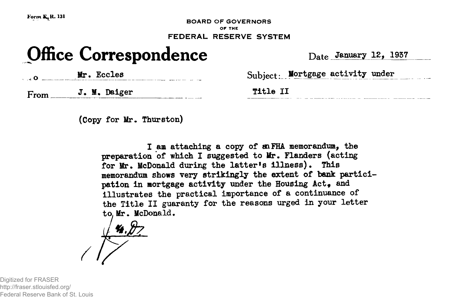**Form K<sub>1</sub> R. 131** 

**- ^ BOARD OF GOVERNORS OF THE FEDERAL RESERVE SYSTEM**

## **Office Correspondence** Date January 12, 1937

Mr. Eccles Subject: Mortgage activity under

From J. M. Daiger
Title I

**(Copy for Mr. Thurston)**

**I am attaching a copy of aiFHA. memorandum, the preparation of which I suggested to Mr. Flanders (acting for Mr. McDonald during the latter<sup>f</sup>s illness). This memorandum shows very strikingly the extent of bank partici** pation in mortgage activity under the Housing Act, and **illustrates the practical importance of a continuance of the Title II guaranty for the reasons urged in your letter to, Mr. McDonald.**

**4. Z** 

Digitized for FRASER http://fraser.stlouisfed.org/ Federal Reserve Bank of St. Louis